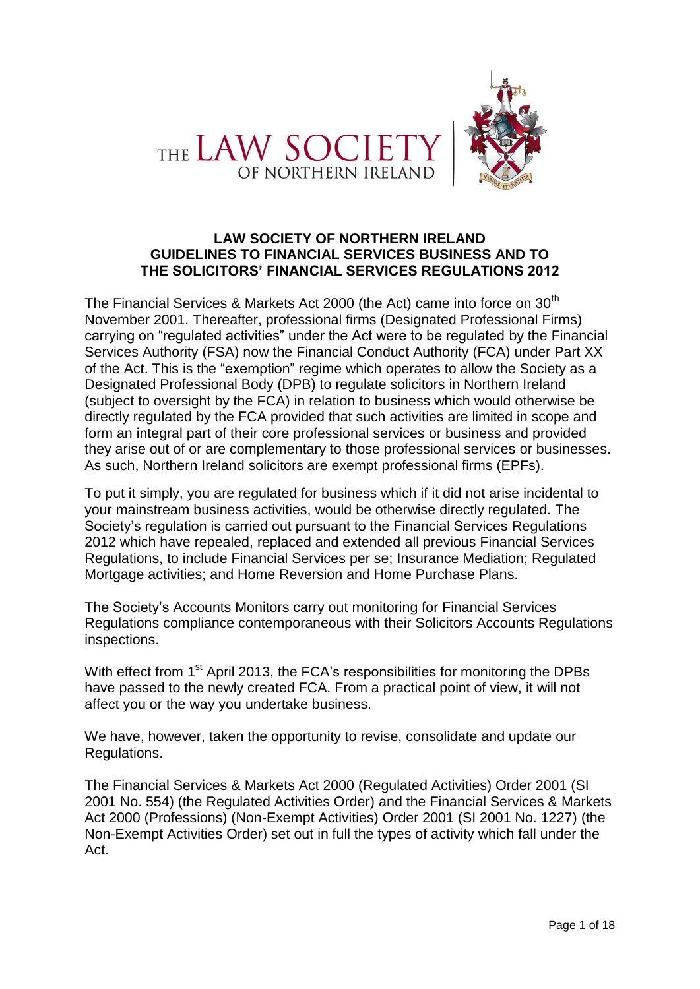



## **LAW SOCIETY OF NORTHERN IRELAND GUIDELINES TO FINANCIAL SERVICES BUSINESS AND TO THE SOLICITORS' FINANCIAL SERVICES REGULATIONS 2012**

The Financial Services & Markets Act 2000 (the Act) came into force on 30<sup>th</sup> November 2001. Thereafter, professional firms (Designated Professional Firms) carrying on "regulated activities" under the Act were to be regulated by the Financial Services Authority (FSA) now the Financial Conduct Authority (FCA) under Part XX of the Act. This is the "exemption" regime which operates to allow the Society as a Designated Professional Body (DPB) to regulate solicitors in Northern Ireland (subject to oversight by the FCA) in relation to business which would otherwise be directly regulated by the FCA provided that such activities are limited in scope and form an integral part of their core professional services or business and provided they arise out of or are complementary to those professional services or businesses. As such, Northern Ireland solicitors are exempt professional firms (EPFs).

To put it simply, you are regulated for business which if it did not arise incidental to your mainstream business activities, would be otherwise directly regulated. The Society's regulation is carried out pursuant to the Financial Services Regulations 2012 which have repealed, replaced and extended all previous Financial Services Regulations, to include Financial Services per se; Insurance Mediation; Regulated Mortgage activities; and Home Reversion and Home Purchase Plans.

The Society's Accounts Monitors carry out monitoring for Financial Services Regulations compliance contemporaneous with their Solicitors Accounts Regulations inspections.

With effect from 1<sup>st</sup> April 2013, the FCA's responsibilities for monitoring the DPBs have passed to the newly created FCA. From a practical point of view, it will not affect you or the way you undertake business.

We have, however, taken the opportunity to revise, consolidate and update our Regulations.

The Financial Services & Markets Act 2000 (Regulated Activities) Order 2001 (SI 2001 No. 554) (the Regulated Activities Order) and the Financial Services & Markets Act 2000 (Professions) (Non-Exempt Activities) Order 2001 (SI 2001 No. 1227) (the Non-Exempt Activities Order) set out in full the types of activity which fall under the Act.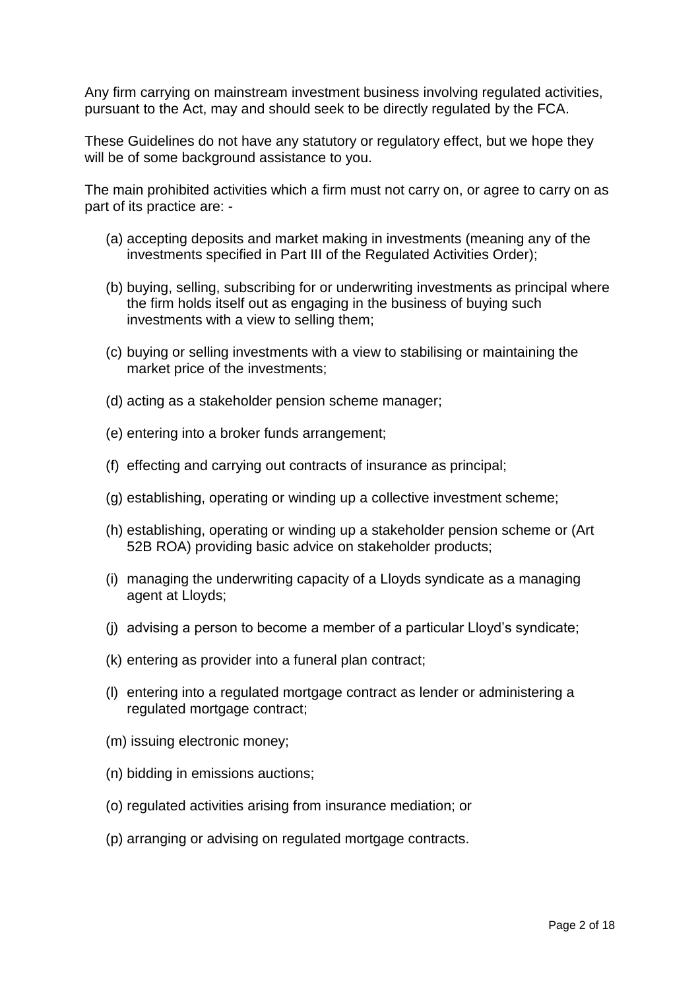Any firm carrying on mainstream investment business involving regulated activities, pursuant to the Act, may and should seek to be directly regulated by the FCA.

These Guidelines do not have any statutory or regulatory effect, but we hope they will be of some background assistance to you.

The main prohibited activities which a firm must not carry on, or agree to carry on as part of its practice are: -

- (a) accepting deposits and market making in investments (meaning any of the investments specified in Part III of the Regulated Activities Order);
- (b) buying, selling, subscribing for or underwriting investments as principal where the firm holds itself out as engaging in the business of buying such investments with a view to selling them;
- (c) buying or selling investments with a view to stabilising or maintaining the market price of the investments;
- (d) acting as a stakeholder pension scheme manager;
- (e) entering into a broker funds arrangement;
- (f) effecting and carrying out contracts of insurance as principal;
- (g) establishing, operating or winding up a collective investment scheme;
- (h) establishing, operating or winding up a stakeholder pension scheme or (Art 52B ROA) providing basic advice on stakeholder products;
- (i) managing the underwriting capacity of a Lloyds syndicate as a managing agent at Lloyds;
- (j) advising a person to become a member of a particular Lloyd's syndicate;
- (k) entering as provider into a funeral plan contract;
- (l) entering into a regulated mortgage contract as lender or administering a regulated mortgage contract;
- (m) issuing electronic money;
- (n) bidding in emissions auctions;
- (o) regulated activities arising from insurance mediation; or
- (p) arranging or advising on regulated mortgage contracts.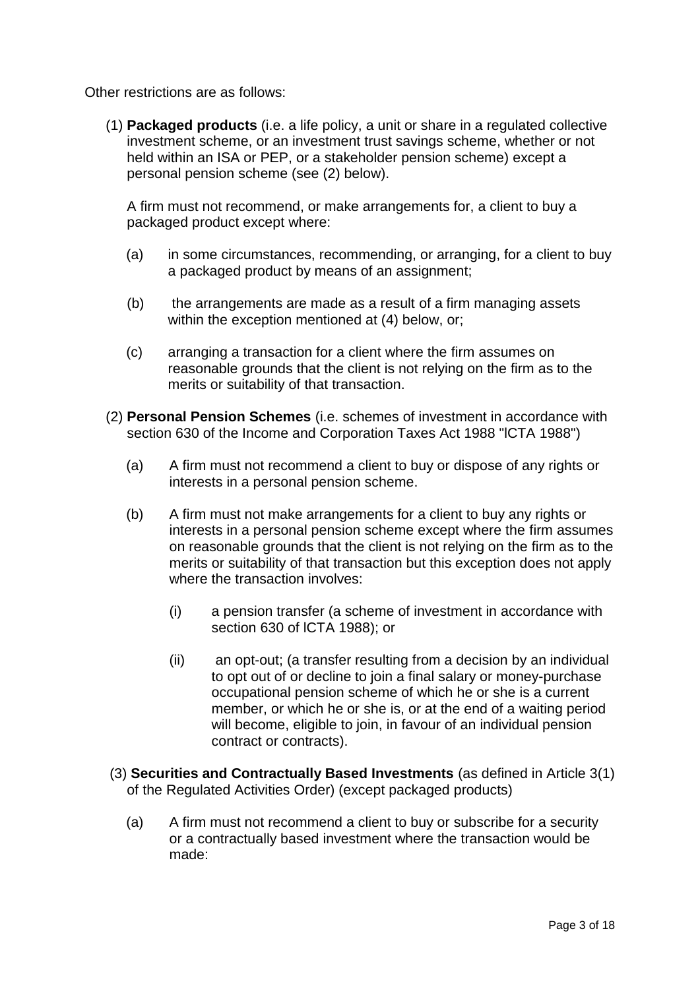Other restrictions are as follows:

(1) **Packaged products** (i.e. a life policy, a unit or share in a regulated collective investment scheme, or an investment trust savings scheme, whether or not held within an ISA or PEP, or a stakeholder pension scheme) except a personal pension scheme (see (2) below).

A firm must not recommend, or make arrangements for, a client to buy a packaged product except where:

- (a) in some circumstances, recommending, or arranging, for a client to buy a packaged product by means of an assignment;
- (b) the arrangements are made as a result of a firm managing assets within the exception mentioned at (4) below, or;
- (c) arranging a transaction for a client where the firm assumes on reasonable grounds that the client is not relying on the firm as to the merits or suitability of that transaction.
- (2) **Personal Pension Schemes** (i.e. schemes of investment in accordance with section 630 of the Income and Corporation Taxes Act 1988 "lCTA 1988")
	- (a) A firm must not recommend a client to buy or dispose of any rights or interests in a personal pension scheme.
	- (b) A firm must not make arrangements for a client to buy any rights or interests in a personal pension scheme except where the firm assumes on reasonable grounds that the client is not relying on the firm as to the merits or suitability of that transaction but this exception does not apply where the transaction involves:
		- (i) a pension transfer (a scheme of investment in accordance with section 630 of lCTA 1988); or
		- (ii) an opt-out; (a transfer resulting from a decision by an individual to opt out of or decline to join a final salary or money-purchase occupational pension scheme of which he or she is a current member, or which he or she is, or at the end of a waiting period will become, eligible to join, in favour of an individual pension contract or contracts).
- (3) **Securities and Contractually Based Investments** (as defined in Article 3(1) of the Regulated Activities Order) (except packaged products)
	- (a) A firm must not recommend a client to buy or subscribe for a security or a contractually based investment where the transaction would be made: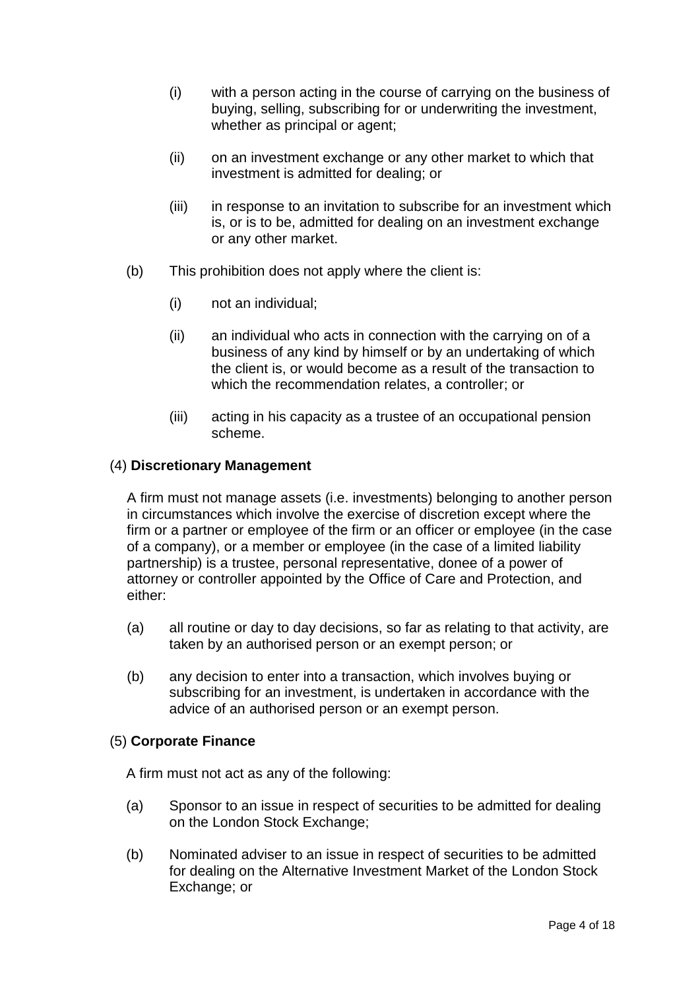- (i) with a person acting in the course of carrying on the business of buying, selling, subscribing for or underwriting the investment, whether as principal or agent;
- (ii) on an investment exchange or any other market to which that investment is admitted for dealing; or
- (iii) in response to an invitation to subscribe for an investment which is, or is to be, admitted for dealing on an investment exchange or any other market.
- (b) This prohibition does not apply where the client is:
	- (i) not an individual;
	- (ii) an individual who acts in connection with the carrying on of a business of any kind by himself or by an undertaking of which the client is, or would become as a result of the transaction to which the recommendation relates, a controller; or
	- (iii) acting in his capacity as a trustee of an occupational pension scheme.

#### (4) **Discretionary Management**

A firm must not manage assets (i.e. investments) belonging to another person in circumstances which involve the exercise of discretion except where the firm or a partner or employee of the firm or an officer or employee (in the case of a company), or a member or employee (in the case of a limited liability partnership) is a trustee, personal representative, donee of a power of attorney or controller appointed by the Office of Care and Protection, and either:

- (a) all routine or day to day decisions, so far as relating to that activity, are taken by an authorised person or an exempt person; or
- (b) any decision to enter into a transaction, which involves buying or subscribing for an investment, is undertaken in accordance with the advice of an authorised person or an exempt person.

#### (5) **Corporate Finance**

A firm must not act as any of the following:

- (a) Sponsor to an issue in respect of securities to be admitted for dealing on the London Stock Exchange;
- (b) Nominated adviser to an issue in respect of securities to be admitted for dealing on the Alternative Investment Market of the London Stock Exchange; or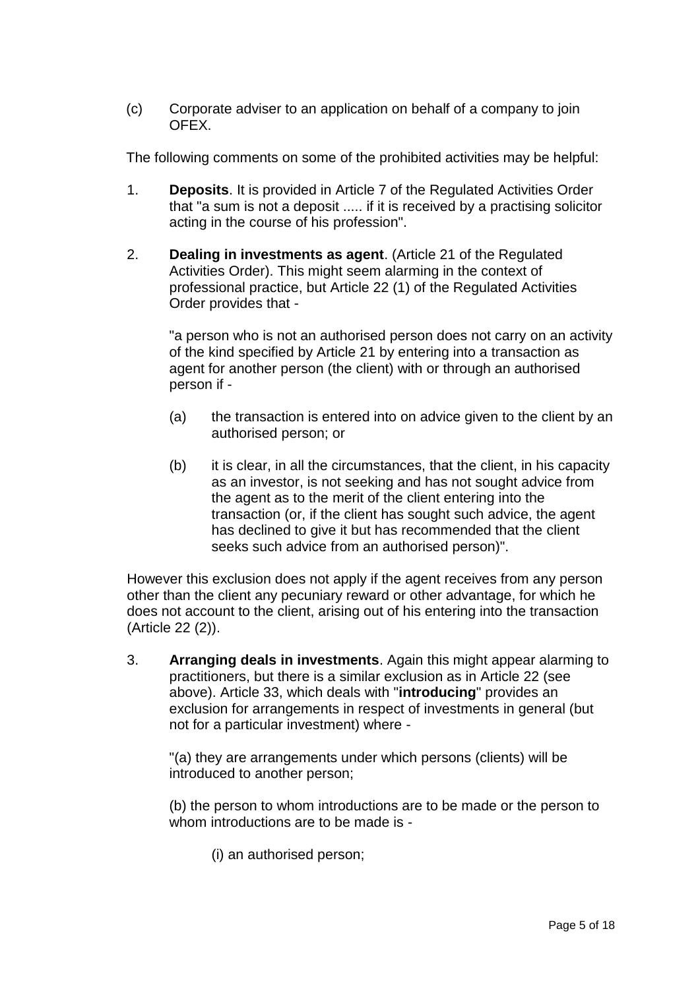(c) Corporate adviser to an application on behalf of a company to join OFEX.

The following comments on some of the prohibited activities may be helpful:

- 1. **Deposits**. It is provided in Article 7 of the Regulated Activities Order that "a sum is not a deposit ..... if it is received by a practising solicitor acting in the course of his profession".
- 2. **Dealing in investments as agent**. (Article 21 of the Regulated Activities Order). This might seem alarming in the context of professional practice, but Article 22 (1) of the Regulated Activities Order provides that -

"a person who is not an authorised person does not carry on an activity of the kind specified by Article 21 by entering into a transaction as agent for another person (the client) with or through an authorised person if -

- (a) the transaction is entered into on advice given to the client by an authorised person; or
- (b) it is clear, in all the circumstances, that the client, in his capacity as an investor, is not seeking and has not sought advice from the agent as to the merit of the client entering into the transaction (or, if the client has sought such advice, the agent has declined to give it but has recommended that the client seeks such advice from an authorised person)".

However this exclusion does not apply if the agent receives from any person other than the client any pecuniary reward or other advantage, for which he does not account to the client, arising out of his entering into the transaction (Article 22 (2)).

3. **Arranging deals in investments**. Again this might appear alarming to practitioners, but there is a similar exclusion as in Article 22 (see above). Article 33, which deals with "**introducing**" provides an exclusion for arrangements in respect of investments in general (but not for a particular investment) where -

"(a) they are arrangements under which persons (clients) will be introduced to another person;

(b) the person to whom introductions are to be made or the person to whom introductions are to be made is -

(i) an authorised person;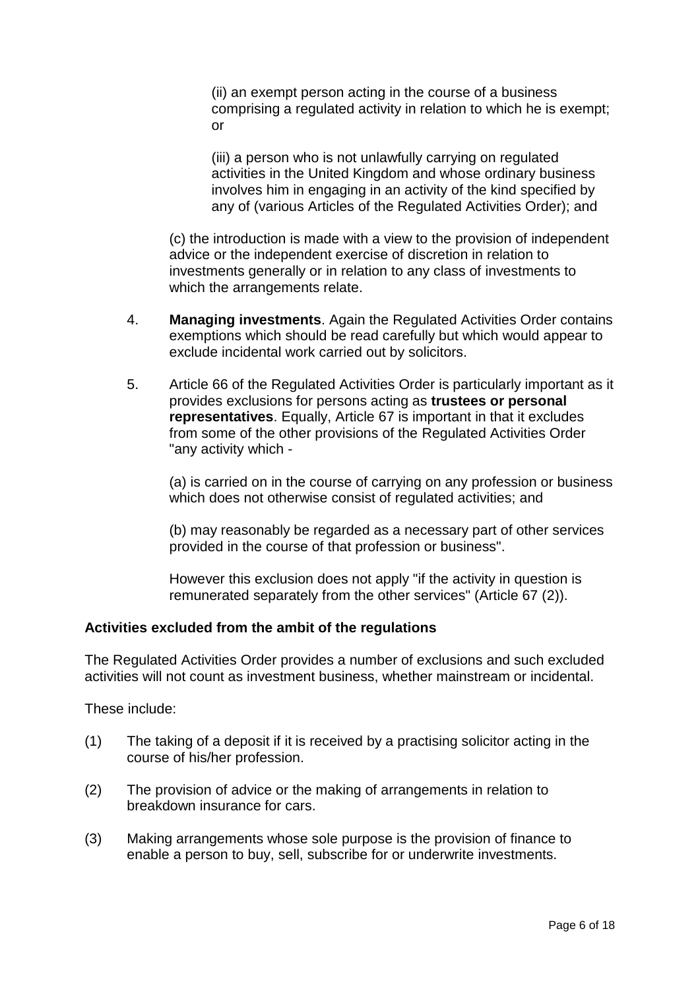(ii) an exempt person acting in the course of a business comprising a regulated activity in relation to which he is exempt; or

(iii) a person who is not unlawfully carrying on regulated activities in the United Kingdom and whose ordinary business involves him in engaging in an activity of the kind specified by any of (various Articles of the Regulated Activities Order); and

(c) the introduction is made with a view to the provision of independent advice or the independent exercise of discretion in relation to investments generally or in relation to any class of investments to which the arrangements relate.

- 4. **Managing investments**. Again the Regulated Activities Order contains exemptions which should be read carefully but which would appear to exclude incidental work carried out by solicitors.
- 5. Article 66 of the Regulated Activities Order is particularly important as it provides exclusions for persons acting as **trustees or personal representatives**. Equally, Article 67 is important in that it excludes from some of the other provisions of the Regulated Activities Order "any activity which -

(a) is carried on in the course of carrying on any profession or business which does not otherwise consist of regulated activities; and

(b) may reasonably be regarded as a necessary part of other services provided in the course of that profession or business".

However this exclusion does not apply "if the activity in question is remunerated separately from the other services" (Article 67 (2)).

#### **Activities excluded from the ambit of the regulations**

The Regulated Activities Order provides a number of exclusions and such excluded activities will not count as investment business, whether mainstream or incidental.

These include:

- (1) The taking of a deposit if it is received by a practising solicitor acting in the course of his/her profession.
- (2) The provision of advice or the making of arrangements in relation to breakdown insurance for cars.
- (3) Making arrangements whose sole purpose is the provision of finance to enable a person to buy, sell, subscribe for or underwrite investments.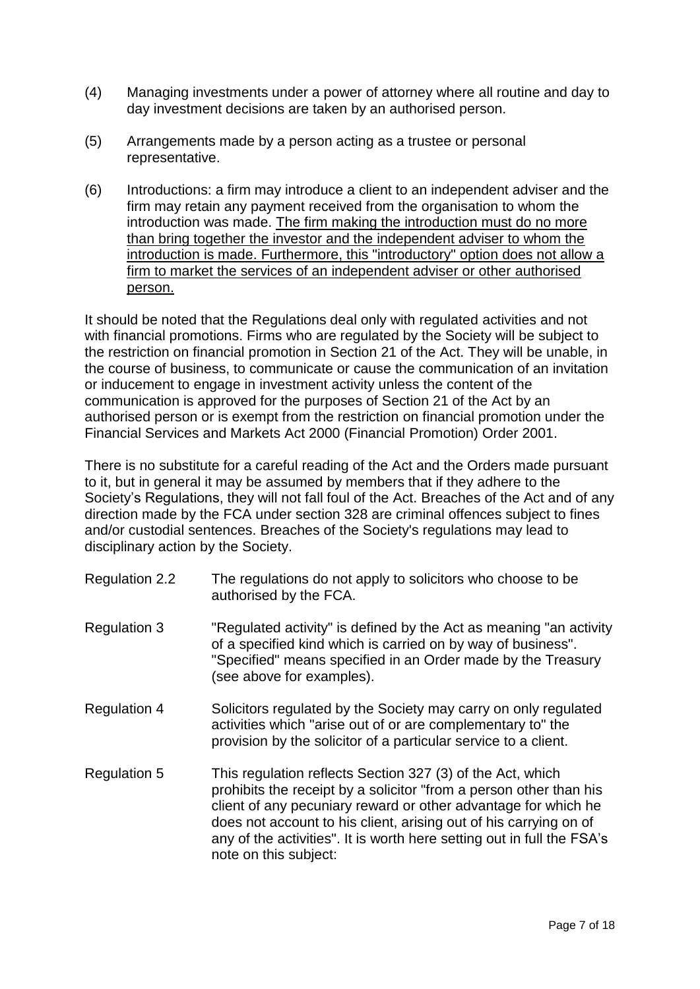- (4) Managing investments under a power of attorney where all routine and day to day investment decisions are taken by an authorised person.
- (5) Arrangements made by a person acting as a trustee or personal representative.
- (6) Introductions: a firm may introduce a client to an independent adviser and the firm may retain any payment received from the organisation to whom the introduction was made. The firm making the introduction must do no more than bring together the investor and the independent adviser to whom the introduction is made. Furthermore, this "introductory" option does not allow a firm to market the services of an independent adviser or other authorised person.

It should be noted that the Regulations deal only with regulated activities and not with financial promotions. Firms who are regulated by the Society will be subject to the restriction on financial promotion in Section 21 of the Act. They will be unable, in the course of business, to communicate or cause the communication of an invitation or inducement to engage in investment activity unless the content of the communication is approved for the purposes of Section 21 of the Act by an authorised person or is exempt from the restriction on financial promotion under the Financial Services and Markets Act 2000 (Financial Promotion) Order 2001.

There is no substitute for a careful reading of the Act and the Orders made pursuant to it, but in general it may be assumed by members that if they adhere to the Society's Regulations, they will not fall foul of the Act. Breaches of the Act and of any direction made by the FCA under section 328 are criminal offences subject to fines and/or custodial sentences. Breaches of the Society's regulations may lead to disciplinary action by the Society.

| <b>Regulation 2.2</b> | The regulations do not apply to solicitors who choose to be<br>authorised by the FCA.                                                                                                                                                                                                                                                                                      |
|-----------------------|----------------------------------------------------------------------------------------------------------------------------------------------------------------------------------------------------------------------------------------------------------------------------------------------------------------------------------------------------------------------------|
| <b>Regulation 3</b>   | "Regulated activity" is defined by the Act as meaning "an activity"<br>of a specified kind which is carried on by way of business".<br>"Specified" means specified in an Order made by the Treasury<br>(see above for examples).                                                                                                                                           |
| <b>Regulation 4</b>   | Solicitors regulated by the Society may carry on only regulated<br>activities which "arise out of or are complementary to" the<br>provision by the solicitor of a particular service to a client.                                                                                                                                                                          |
| <b>Regulation 5</b>   | This regulation reflects Section 327 (3) of the Act, which<br>prohibits the receipt by a solicitor "from a person other than his<br>client of any pecuniary reward or other advantage for which he<br>does not account to his client, arising out of his carrying on of<br>any of the activities". It is worth here setting out in full the FSA's<br>note on this subject: |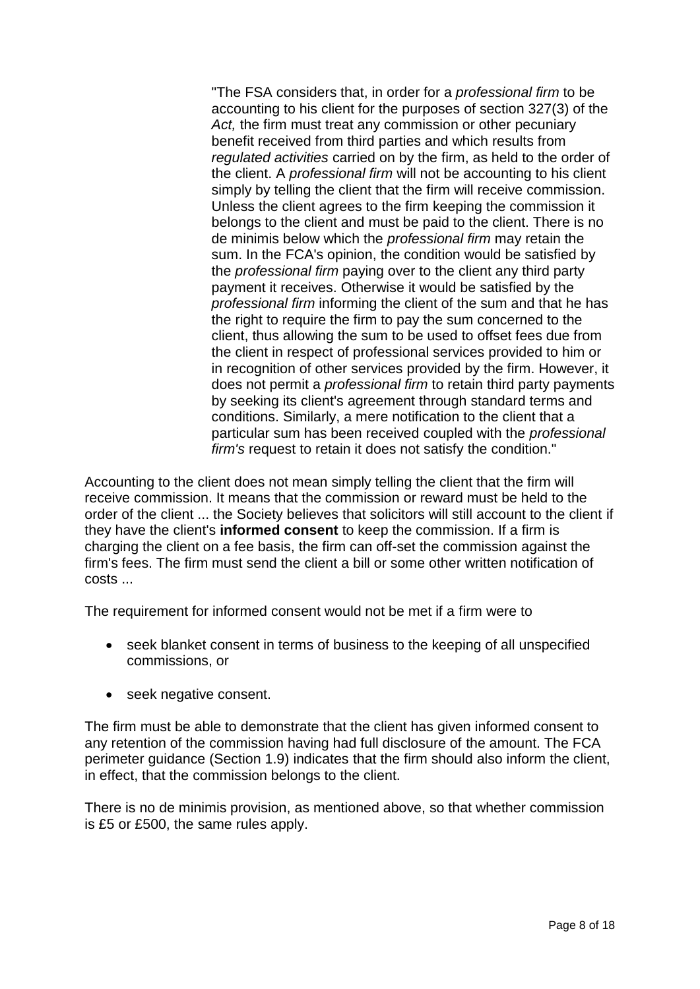"The FSA considers that, in order for a *professional firm* to be accounting to his client for the purposes of section 327(3) of the *Act,* the firm must treat any commission or other pecuniary benefit received from third parties and which results from *regulated activities* carried on by the firm, as held to the order of the client. A *professional firm* will not be accounting to his client simply by telling the client that the firm will receive commission. Unless the client agrees to the firm keeping the commission it belongs to the client and must be paid to the client. There is no de minimis below which the *professional firm* may retain the sum. In the FCA's opinion, the condition would be satisfied by the *professional firm* paying over to the client any third party payment it receives. Otherwise it would be satisfied by the *professional firm* informing the client of the sum and that he has the right to require the firm to pay the sum concerned to the client, thus allowing the sum to be used to offset fees due from the client in respect of professional services provided to him or in recognition of other services provided by the firm. However, it does not permit a *professional firm* to retain third party payments by seeking its client's agreement through standard terms and conditions. Similarly, a mere notification to the client that a particular sum has been received coupled with the *professional firm's* request to retain it does not satisfy the condition."

Accounting to the client does not mean simply telling the client that the firm will receive commission. It means that the commission or reward must be held to the order of the client ... the Society believes that solicitors will still account to the client if they have the client's **informed consent** to keep the commission. If a firm is charging the client on a fee basis, the firm can off-set the commission against the firm's fees. The firm must send the client a bill or some other written notification of costs ...

The requirement for informed consent would not be met if a firm were to

- seek blanket consent in terms of business to the keeping of all unspecified commissions, or
- seek negative consent.

The firm must be able to demonstrate that the client has given informed consent to any retention of the commission having had full disclosure of the amount. The FCA perimeter guidance (Section 1.9) indicates that the firm should also inform the client, in effect, that the commission belongs to the client.

There is no de minimis provision, as mentioned above, so that whether commission is £5 or £500, the same rules apply.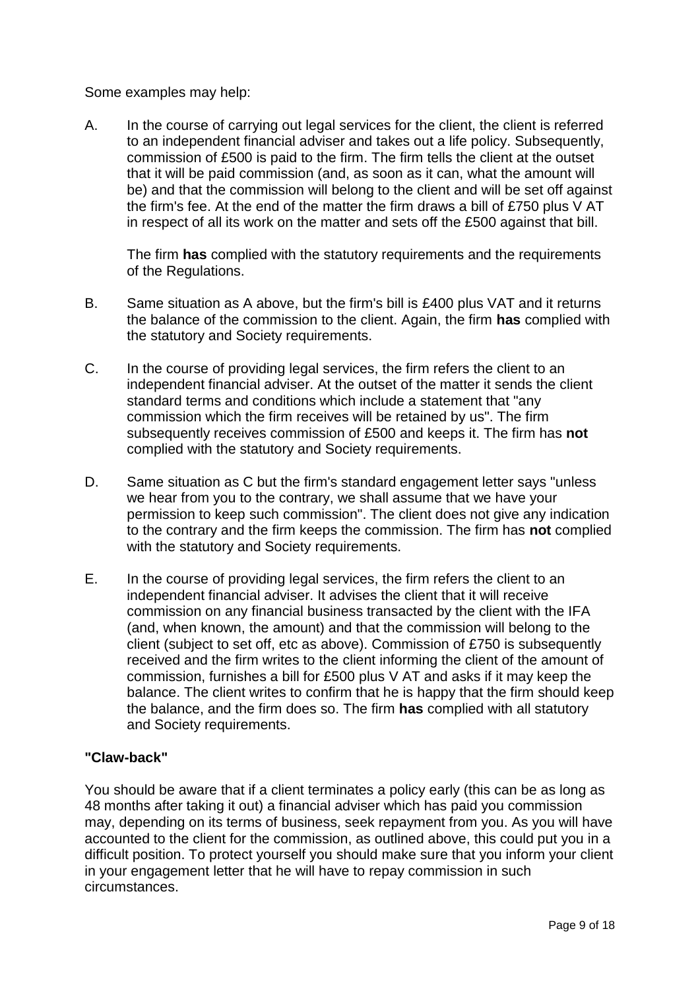Some examples may help:

A. In the course of carrying out legal services for the client, the client is referred to an independent financial adviser and takes out a life policy. Subsequently, commission of £500 is paid to the firm. The firm tells the client at the outset that it will be paid commission (and, as soon as it can, what the amount will be) and that the commission will belong to the client and will be set off against the firm's fee. At the end of the matter the firm draws a bill of £750 plus V AT in respect of all its work on the matter and sets off the £500 against that bill.

The firm **has** complied with the statutory requirements and the requirements of the Regulations.

- B. Same situation as A above, but the firm's bill is £400 plus VAT and it returns the balance of the commission to the client. Again, the firm **has** complied with the statutory and Society requirements.
- C. In the course of providing legal services, the firm refers the client to an independent financial adviser. At the outset of the matter it sends the client standard terms and conditions which include a statement that "any commission which the firm receives will be retained by us". The firm subsequently receives commission of £500 and keeps it. The firm has **not** complied with the statutory and Society requirements.
- D. Same situation as C but the firm's standard engagement letter says "unless we hear from you to the contrary, we shall assume that we have your permission to keep such commission". The client does not give any indication to the contrary and the firm keeps the commission. The firm has **not** complied with the statutory and Society requirements.
- E. In the course of providing legal services, the firm refers the client to an independent financial adviser. It advises the client that it will receive commission on any financial business transacted by the client with the IFA (and, when known, the amount) and that the commission will belong to the client (subject to set off, etc as above). Commission of £750 is subsequently received and the firm writes to the client informing the client of the amount of commission, furnishes a bill for £500 plus V AT and asks if it may keep the balance. The client writes to confirm that he is happy that the firm should keep the balance, and the firm does so. The firm **has** complied with all statutory and Society requirements.

### **"Claw-back"**

You should be aware that if a client terminates a policy early (this can be as long as 48 months after taking it out) a financial adviser which has paid you commission may, depending on its terms of business, seek repayment from you. As you will have accounted to the client for the commission, as outlined above, this could put you in a difficult position. To protect yourself you should make sure that you inform your client in your engagement letter that he will have to repay commission in such circumstances.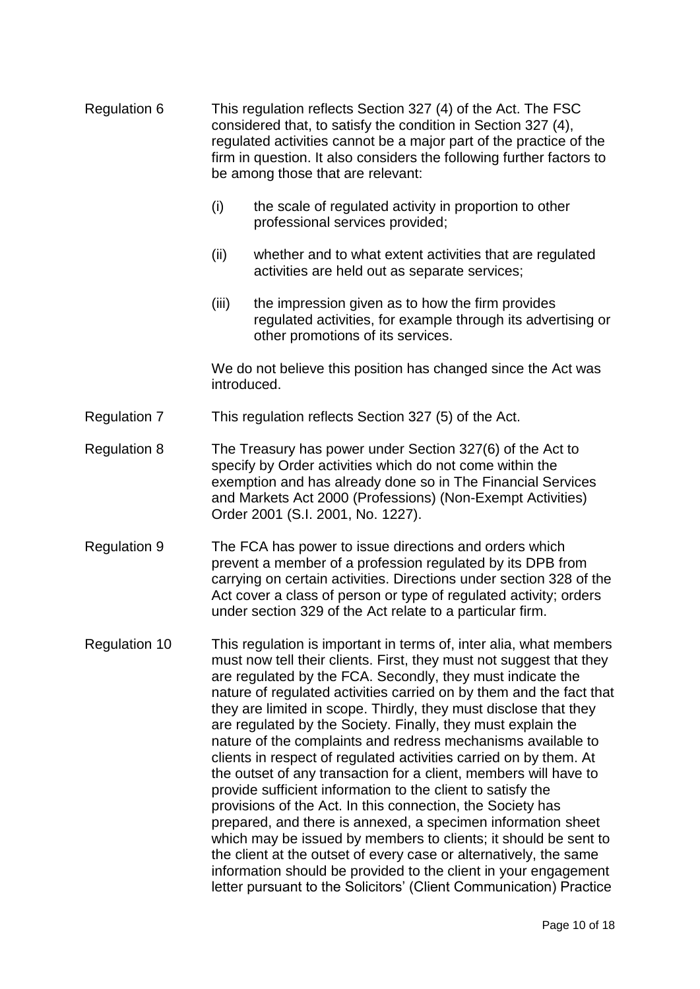| <b>Regulation 6</b>  | This regulation reflects Section 327 (4) of the Act. The FSC<br>considered that, to satisfy the condition in Section 327 (4),<br>regulated activities cannot be a major part of the practice of the<br>firm in question. It also considers the following further factors to<br>be among those that are relevant:              |                                                                                                                                                                                                                                                                                                                                                                                                                                                                                                                                                                                                                                                                                                                                                                                                                                                                                                                                                                                                                                                                                                           |  |  |
|----------------------|-------------------------------------------------------------------------------------------------------------------------------------------------------------------------------------------------------------------------------------------------------------------------------------------------------------------------------|-----------------------------------------------------------------------------------------------------------------------------------------------------------------------------------------------------------------------------------------------------------------------------------------------------------------------------------------------------------------------------------------------------------------------------------------------------------------------------------------------------------------------------------------------------------------------------------------------------------------------------------------------------------------------------------------------------------------------------------------------------------------------------------------------------------------------------------------------------------------------------------------------------------------------------------------------------------------------------------------------------------------------------------------------------------------------------------------------------------|--|--|
|                      | (i)                                                                                                                                                                                                                                                                                                                           | the scale of regulated activity in proportion to other<br>professional services provided;                                                                                                                                                                                                                                                                                                                                                                                                                                                                                                                                                                                                                                                                                                                                                                                                                                                                                                                                                                                                                 |  |  |
|                      | (ii)                                                                                                                                                                                                                                                                                                                          | whether and to what extent activities that are regulated<br>activities are held out as separate services;                                                                                                                                                                                                                                                                                                                                                                                                                                                                                                                                                                                                                                                                                                                                                                                                                                                                                                                                                                                                 |  |  |
|                      | (iii)                                                                                                                                                                                                                                                                                                                         | the impression given as to how the firm provides<br>regulated activities, for example through its advertising or<br>other promotions of its services.                                                                                                                                                                                                                                                                                                                                                                                                                                                                                                                                                                                                                                                                                                                                                                                                                                                                                                                                                     |  |  |
|                      | We do not believe this position has changed since the Act was<br>introduced.                                                                                                                                                                                                                                                  |                                                                                                                                                                                                                                                                                                                                                                                                                                                                                                                                                                                                                                                                                                                                                                                                                                                                                                                                                                                                                                                                                                           |  |  |
| <b>Regulation 7</b>  | This regulation reflects Section 327 (5) of the Act.                                                                                                                                                                                                                                                                          |                                                                                                                                                                                                                                                                                                                                                                                                                                                                                                                                                                                                                                                                                                                                                                                                                                                                                                                                                                                                                                                                                                           |  |  |
| <b>Regulation 8</b>  | The Treasury has power under Section 327(6) of the Act to<br>specify by Order activities which do not come within the<br>exemption and has already done so in The Financial Services<br>and Markets Act 2000 (Professions) (Non-Exempt Activities)<br>Order 2001 (S.I. 2001, No. 1227).                                       |                                                                                                                                                                                                                                                                                                                                                                                                                                                                                                                                                                                                                                                                                                                                                                                                                                                                                                                                                                                                                                                                                                           |  |  |
| <b>Regulation 9</b>  | The FCA has power to issue directions and orders which<br>prevent a member of a profession regulated by its DPB from<br>carrying on certain activities. Directions under section 328 of the<br>Act cover a class of person or type of regulated activity; orders<br>under section 329 of the Act relate to a particular firm. |                                                                                                                                                                                                                                                                                                                                                                                                                                                                                                                                                                                                                                                                                                                                                                                                                                                                                                                                                                                                                                                                                                           |  |  |
| <b>Regulation 10</b> |                                                                                                                                                                                                                                                                                                                               | This regulation is important in terms of, inter alia, what members<br>must now tell their clients. First, they must not suggest that they<br>are regulated by the FCA. Secondly, they must indicate the<br>nature of regulated activities carried on by them and the fact that<br>they are limited in scope. Thirdly, they must disclose that they<br>are regulated by the Society. Finally, they must explain the<br>nature of the complaints and redress mechanisms available to<br>clients in respect of regulated activities carried on by them. At<br>the outset of any transaction for a client, members will have to<br>provide sufficient information to the client to satisfy the<br>provisions of the Act. In this connection, the Society has<br>prepared, and there is annexed, a specimen information sheet<br>which may be issued by members to clients; it should be sent to<br>the client at the outset of every case or alternatively, the same<br>information should be provided to the client in your engagement<br>letter pursuant to the Solicitors' (Client Communication) Practice |  |  |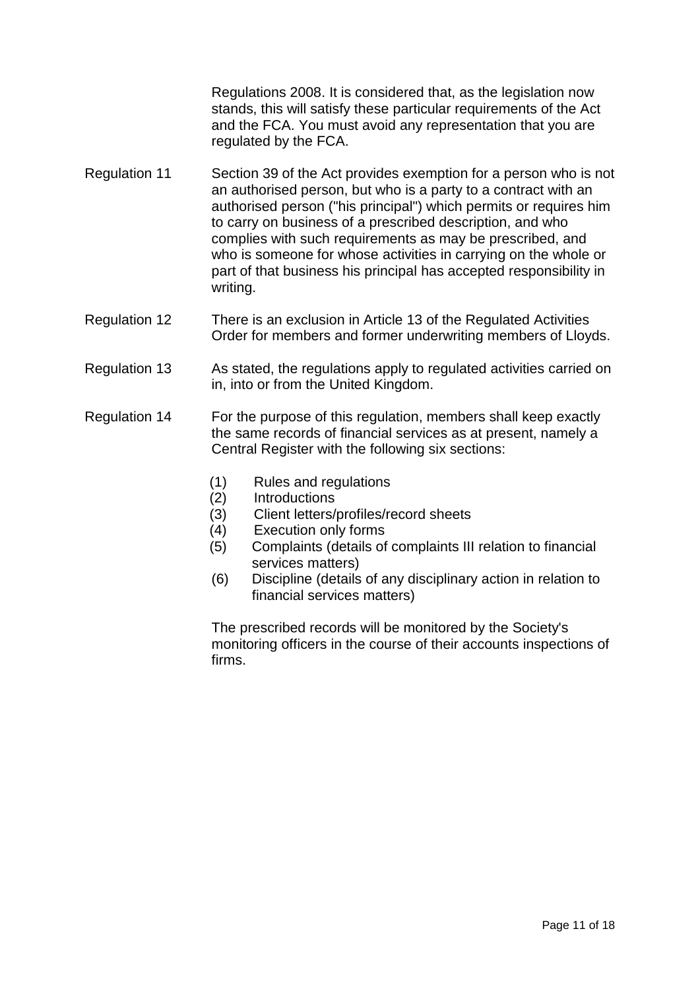Regulations 2008. It is considered that, as the legislation now stands, this will satisfy these particular requirements of the Act and the FCA. You must avoid any representation that you are regulated by the FCA.

- Regulation 11 Section 39 of the Act provides exemption for a person who is not an authorised person, but who is a party to a contract with an authorised person ("his principal") which permits or requires him to carry on business of a prescribed description, and who complies with such requirements as may be prescribed, and who is someone for whose activities in carrying on the whole or part of that business his principal has accepted responsibility in writing.
- Regulation 12 There is an exclusion in Article 13 of the Regulated Activities Order for members and former underwriting members of Lloyds.
- Regulation 13 As stated, the regulations apply to regulated activities carried on in, into or from the United Kingdom.
- Regulation 14 For the purpose of this regulation, members shall keep exactly the same records of financial services as at present, namely a Central Register with the following six sections:
	- (1) Rules and regulations
	- (2) Introductions
	- (3) Client letters/profiles/record sheets
	- (4) Execution only forms
	- (5) Complaints (details of complaints III relation to financial services matters)
	- (6) Discipline (details of any disciplinary action in relation to financial services matters)

The prescribed records will be monitored by the Society's monitoring officers in the course of their accounts inspections of firms.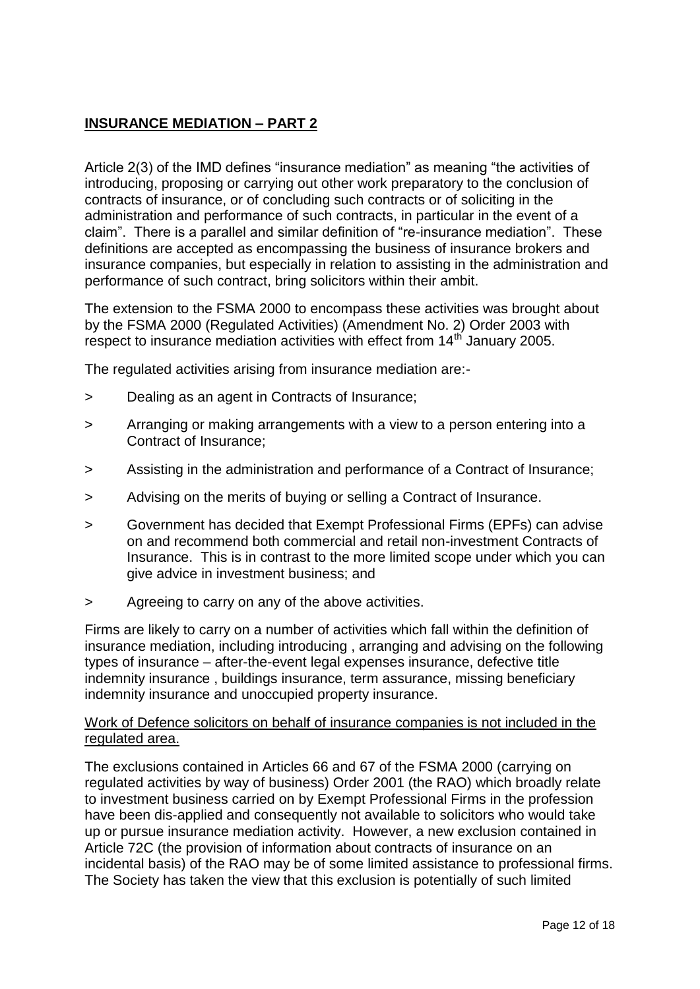# **INSURANCE MEDIATION – PART 2**

Article 2(3) of the IMD defines "insurance mediation" as meaning "the activities of introducing, proposing or carrying out other work preparatory to the conclusion of contracts of insurance, or of concluding such contracts or of soliciting in the administration and performance of such contracts, in particular in the event of a claim". There is a parallel and similar definition of "re-insurance mediation". These definitions are accepted as encompassing the business of insurance brokers and insurance companies, but especially in relation to assisting in the administration and performance of such contract, bring solicitors within their ambit.

The extension to the FSMA 2000 to encompass these activities was brought about by the FSMA 2000 (Regulated Activities) (Amendment No. 2) Order 2003 with respect to insurance mediation activities with effect from 14<sup>th</sup> January 2005.

The regulated activities arising from insurance mediation are:-

- > Dealing as an agent in Contracts of Insurance;
- > Arranging or making arrangements with a view to a person entering into a Contract of Insurance;
- > Assisting in the administration and performance of a Contract of Insurance;
- > Advising on the merits of buying or selling a Contract of Insurance.
- > Government has decided that Exempt Professional Firms (EPFs) can advise on and recommend both commercial and retail non-investment Contracts of Insurance. This is in contrast to the more limited scope under which you can give advice in investment business; and
- > Agreeing to carry on any of the above activities.

Firms are likely to carry on a number of activities which fall within the definition of insurance mediation, including introducing , arranging and advising on the following types of insurance – after-the-event legal expenses insurance, defective title indemnity insurance , buildings insurance, term assurance, missing beneficiary indemnity insurance and unoccupied property insurance.

#### Work of Defence solicitors on behalf of insurance companies is not included in the regulated area.

The exclusions contained in Articles 66 and 67 of the FSMA 2000 (carrying on regulated activities by way of business) Order 2001 (the RAO) which broadly relate to investment business carried on by Exempt Professional Firms in the profession have been dis-applied and consequently not available to solicitors who would take up or pursue insurance mediation activity. However, a new exclusion contained in Article 72C (the provision of information about contracts of insurance on an incidental basis) of the RAO may be of some limited assistance to professional firms. The Society has taken the view that this exclusion is potentially of such limited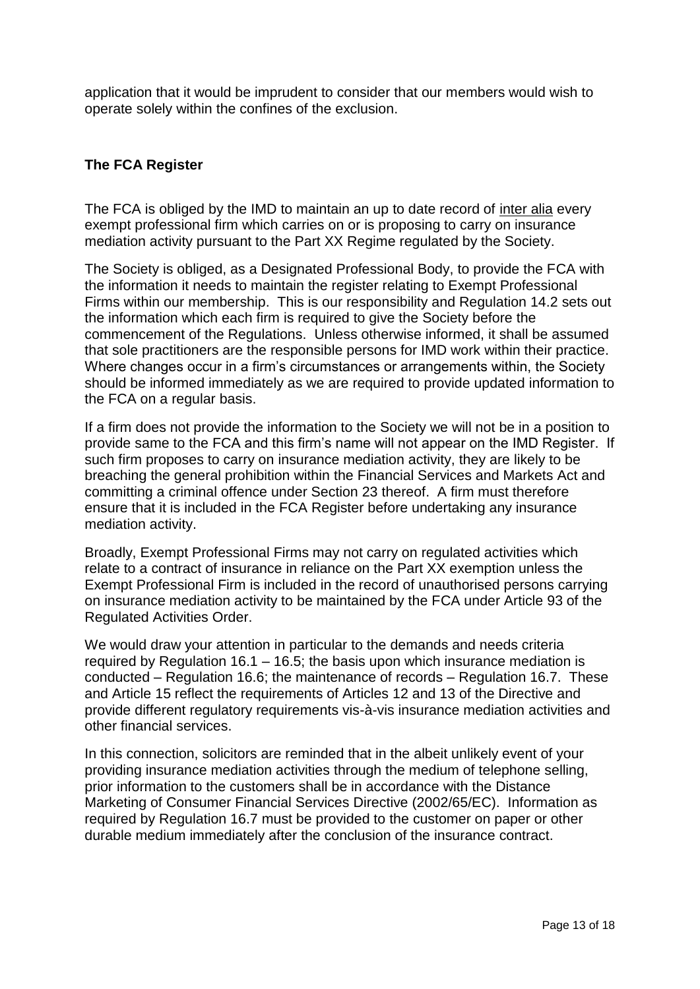application that it would be imprudent to consider that our members would wish to operate solely within the confines of the exclusion.

# **The FCA Register**

The FCA is obliged by the IMD to maintain an up to date record of inter alia every exempt professional firm which carries on or is proposing to carry on insurance mediation activity pursuant to the Part XX Regime regulated by the Society.

The Society is obliged, as a Designated Professional Body, to provide the FCA with the information it needs to maintain the register relating to Exempt Professional Firms within our membership. This is our responsibility and Regulation 14.2 sets out the information which each firm is required to give the Society before the commencement of the Regulations. Unless otherwise informed, it shall be assumed that sole practitioners are the responsible persons for IMD work within their practice. Where changes occur in a firm's circumstances or arrangements within, the Society should be informed immediately as we are required to provide updated information to the FCA on a regular basis.

If a firm does not provide the information to the Society we will not be in a position to provide same to the FCA and this firm's name will not appear on the IMD Register. If such firm proposes to carry on insurance mediation activity, they are likely to be breaching the general prohibition within the Financial Services and Markets Act and committing a criminal offence under Section 23 thereof. A firm must therefore ensure that it is included in the FCA Register before undertaking any insurance mediation activity.

Broadly, Exempt Professional Firms may not carry on regulated activities which relate to a contract of insurance in reliance on the Part XX exemption unless the Exempt Professional Firm is included in the record of unauthorised persons carrying on insurance mediation activity to be maintained by the FCA under Article 93 of the Regulated Activities Order.

We would draw your attention in particular to the demands and needs criteria required by Regulation 16.1 – 16.5; the basis upon which insurance mediation is conducted – Regulation 16.6; the maintenance of records – Regulation 16.7. These and Article 15 reflect the requirements of Articles 12 and 13 of the Directive and provide different regulatory requirements vis-à-vis insurance mediation activities and other financial services.

In this connection, solicitors are reminded that in the albeit unlikely event of your providing insurance mediation activities through the medium of telephone selling, prior information to the customers shall be in accordance with the Distance Marketing of Consumer Financial Services Directive (2002/65/EC). Information as required by Regulation 16.7 must be provided to the customer on paper or other durable medium immediately after the conclusion of the insurance contract.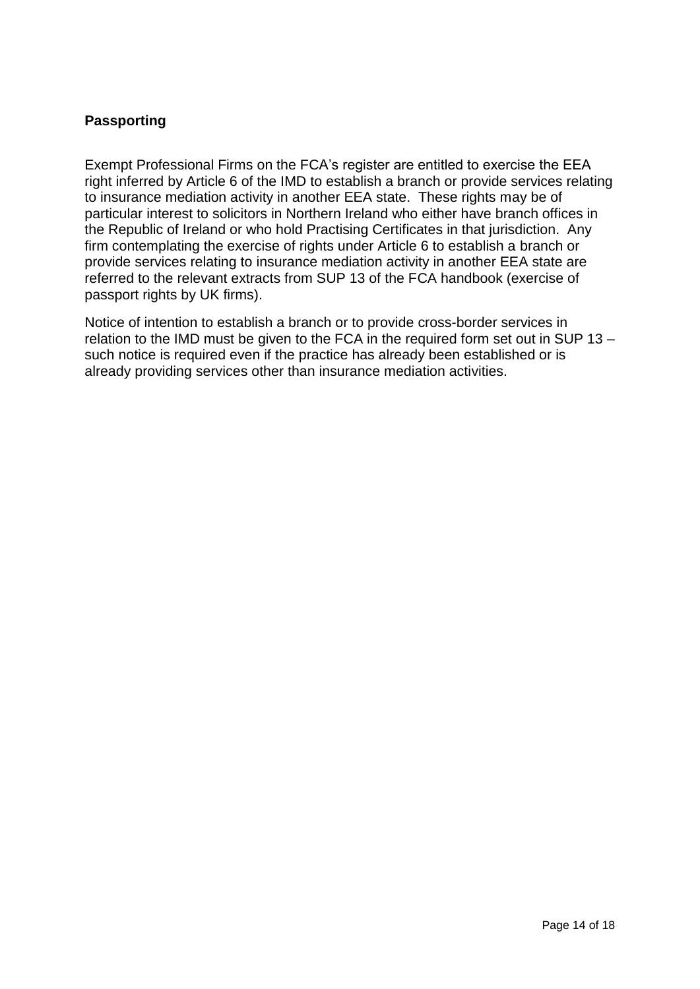## **Passporting**

Exempt Professional Firms on the FCA's register are entitled to exercise the EEA right inferred by Article 6 of the IMD to establish a branch or provide services relating to insurance mediation activity in another EEA state. These rights may be of particular interest to solicitors in Northern Ireland who either have branch offices in the Republic of Ireland or who hold Practising Certificates in that jurisdiction. Any firm contemplating the exercise of rights under Article 6 to establish a branch or provide services relating to insurance mediation activity in another EEA state are referred to the relevant extracts from SUP 13 of the FCA handbook (exercise of passport rights by UK firms).

Notice of intention to establish a branch or to provide cross-border services in relation to the IMD must be given to the FCA in the required form set out in SUP 13 – such notice is required even if the practice has already been established or is already providing services other than insurance mediation activities.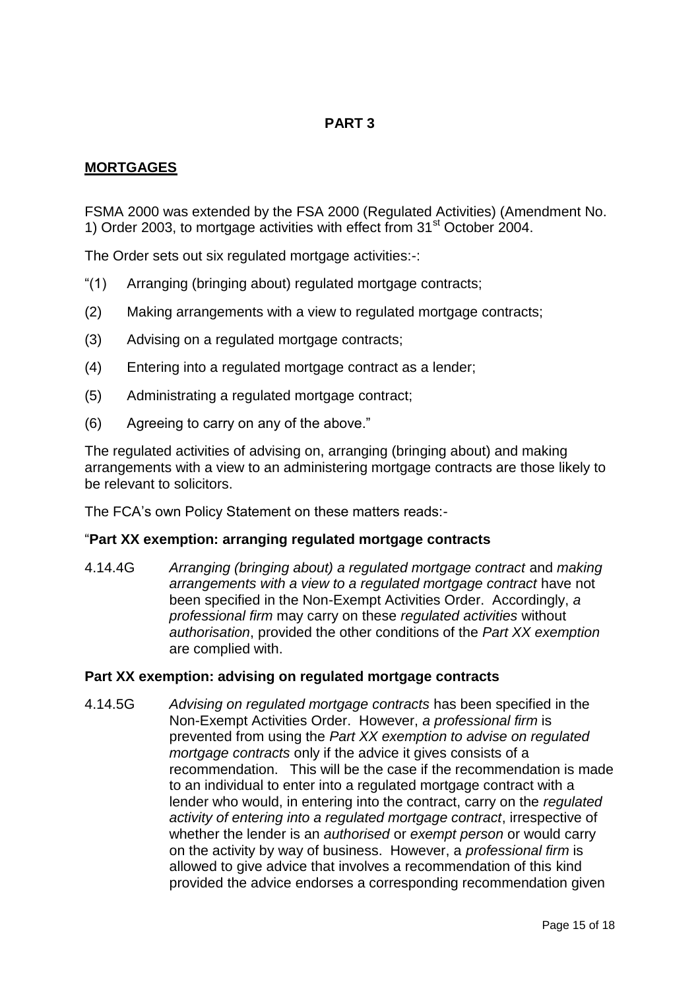# **PART 3**

### **MORTGAGES**

FSMA 2000 was extended by the FSA 2000 (Regulated Activities) (Amendment No. 1) Order 2003, to mortgage activities with effect from 31<sup>st</sup> October 2004.

The Order sets out six regulated mortgage activities:-:

- "(1) Arranging (bringing about) regulated mortgage contracts;
- (2) Making arrangements with a view to regulated mortgage contracts;
- (3) Advising on a regulated mortgage contracts;
- (4) Entering into a regulated mortgage contract as a lender;
- (5) Administrating a regulated mortgage contract;
- (6) Agreeing to carry on any of the above."

The regulated activities of advising on, arranging (bringing about) and making arrangements with a view to an administering mortgage contracts are those likely to be relevant to solicitors.

The FCA's own Policy Statement on these matters reads:-

#### "**Part XX exemption: arranging regulated mortgage contracts**

4.14.4G *Arranging (bringing about) a regulated mortgage contract* and *making arrangements with a view to a regulated mortgage contract* have not been specified in the Non-Exempt Activities Order. Accordingly, *a professional firm* may carry on these *regulated activities* without *authorisation*, provided the other conditions of the *Part XX exemption* are complied with.

#### **Part XX exemption: advising on regulated mortgage contracts**

4.14.5G *Advising on regulated mortgage contracts* has been specified in the Non-Exempt Activities Order. However, *a professional firm* is prevented from using the *Part XX exemption to advise on regulated mortgage contracts* only if the advice it gives consists of a recommendation. This will be the case if the recommendation is made to an individual to enter into a regulated mortgage contract with a lender who would, in entering into the contract, carry on the *regulated activity of entering into a regulated mortgage contract*, irrespective of whether the lender is an *authorised* or *exempt person* or would carry on the activity by way of business. However, a *professional firm* is allowed to give advice that involves a recommendation of this kind provided the advice endorses a corresponding recommendation given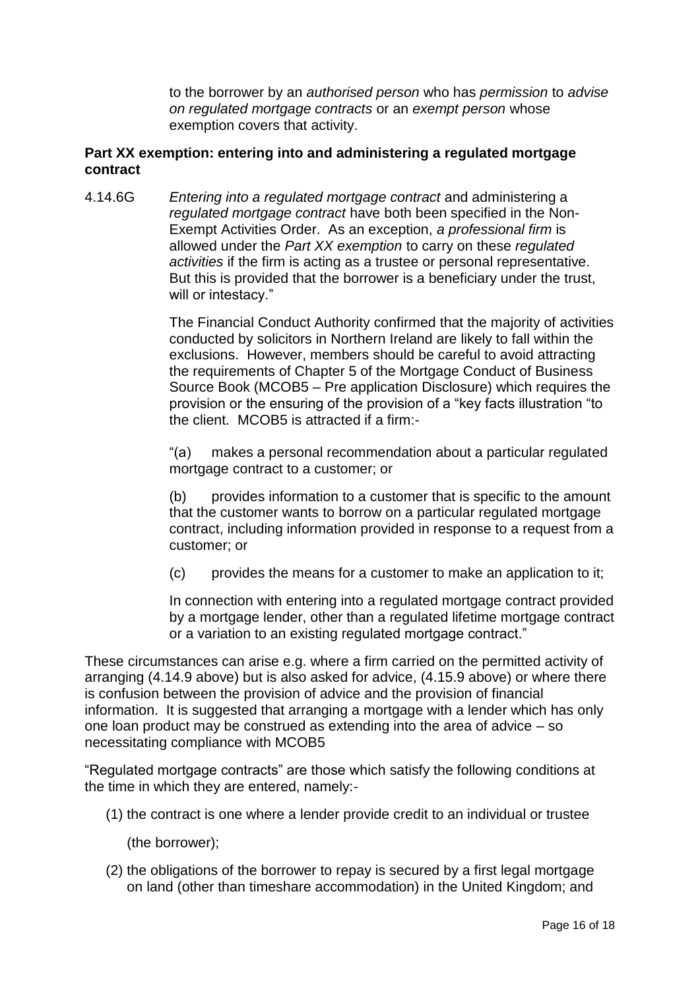to the borrower by an *authorised person* who has *permission* to *advise on regulated mortgage contracts* or an *exempt person* whose exemption covers that activity.

### **Part XX exemption: entering into and administering a regulated mortgage contract**

4.14.6G *Entering into a regulated mortgage contract* and administering a *regulated mortgage contract* have both been specified in the Non-Exempt Activities Order. As an exception, *a professional firm* is allowed under the *Part XX exemption* to carry on these *regulated activities* if the firm is acting as a trustee or personal representative. But this is provided that the borrower is a beneficiary under the trust, will or intestacy."

> The Financial Conduct Authority confirmed that the majority of activities conducted by solicitors in Northern Ireland are likely to fall within the exclusions. However, members should be careful to avoid attracting the requirements of Chapter 5 of the Mortgage Conduct of Business Source Book (MCOB5 – Pre application Disclosure) which requires the provision or the ensuring of the provision of a "key facts illustration "to the client. MCOB5 is attracted if a firm:-

"(a) makes a personal recommendation about a particular regulated mortgage contract to a customer; or

(b) provides information to a customer that is specific to the amount that the customer wants to borrow on a particular regulated mortgage contract, including information provided in response to a request from a customer; or

(c) provides the means for a customer to make an application to it;

In connection with entering into a regulated mortgage contract provided by a mortgage lender, other than a regulated lifetime mortgage contract or a variation to an existing regulated mortgage contract."

These circumstances can arise e.g. where a firm carried on the permitted activity of arranging (4.14.9 above) but is also asked for advice, (4.15.9 above) or where there is confusion between the provision of advice and the provision of financial information. It is suggested that arranging a mortgage with a lender which has only one loan product may be construed as extending into the area of advice – so necessitating compliance with MCOB5

"Regulated mortgage contracts" are those which satisfy the following conditions at the time in which they are entered, namely:-

(1) the contract is one where a lender provide credit to an individual or trustee

(the borrower);

(2) the obligations of the borrower to repay is secured by a first legal mortgage on land (other than timeshare accommodation) in the United Kingdom; and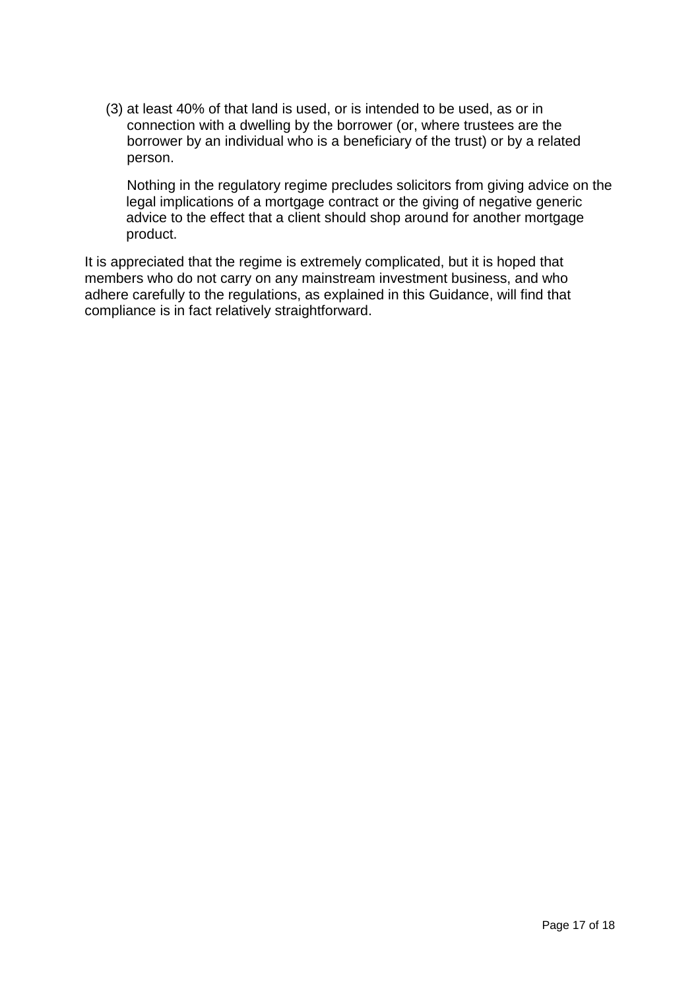(3) at least 40% of that land is used, or is intended to be used, as or in connection with a dwelling by the borrower (or, where trustees are the borrower by an individual who is a beneficiary of the trust) or by a related person.

Nothing in the regulatory regime precludes solicitors from giving advice on the legal implications of a mortgage contract or the giving of negative generic advice to the effect that a client should shop around for another mortgage product.

It is appreciated that the regime is extremely complicated, but it is hoped that members who do not carry on any mainstream investment business, and who adhere carefully to the regulations, as explained in this Guidance, will find that compliance is in fact relatively straightforward.